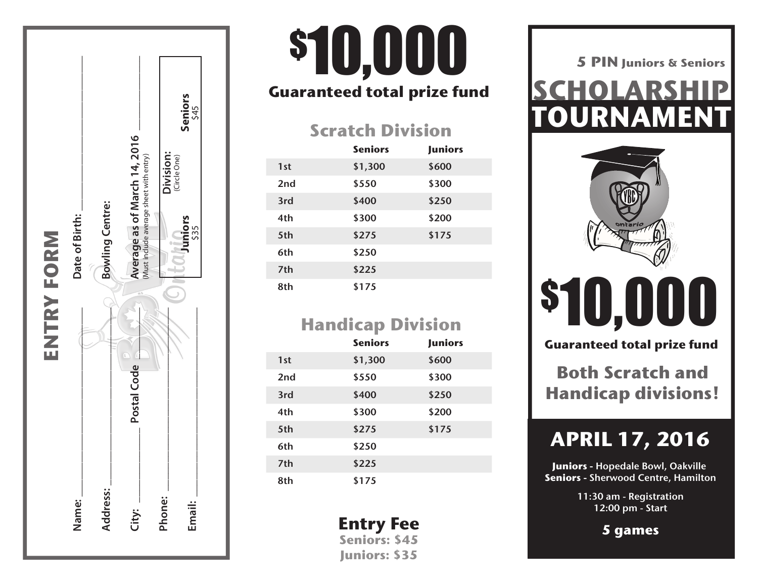

# **Guaranteed total prize fund \$10,000**

#### **Scratch Division**

|     | <b>Seniors</b> | <b>Juniors</b> |
|-----|----------------|----------------|
| 1st | \$1,300        | \$600          |
| 2nd | \$550          | \$300          |
| 3rd | \$400          | \$250          |
| 4th | \$300          | \$200          |
| 5th | \$275          | \$175          |
| 6th | \$250          |                |
| 7th | \$225          |                |
| 8th | \$175          |                |

### **Handicap Division**

|                 | <b>Seniors</b> | <b>Juniors</b> |
|-----------------|----------------|----------------|
| 1st             | \$1,300        | \$600          |
| 2 <sub>nd</sub> | \$550          | \$300          |
| 3rd             | \$400          | \$250          |
| 4th             | \$300          | \$200          |
| 5th             | \$275          | \$175          |
| 6th             | \$250          |                |
| 7th             | \$225          |                |
| 8th             | \$175          |                |

**Entry Fee Seniors: \$45 Juniors: \$35**

**TOURNAMENT SCHOLARSHIP 5 PIN Juniors & Seniors**



\$10,000

**Guaranteed total prize fund**

**Both Scratch and Handicap divisions!**

## **APRIL 17, 2016**

**Juniors -** Hopedale Bowl, Oakville **Seniors -** Sherwood Centre, Hamilton

> 11:30 am - Registration 12:00 pm - Start

> > **5 games**